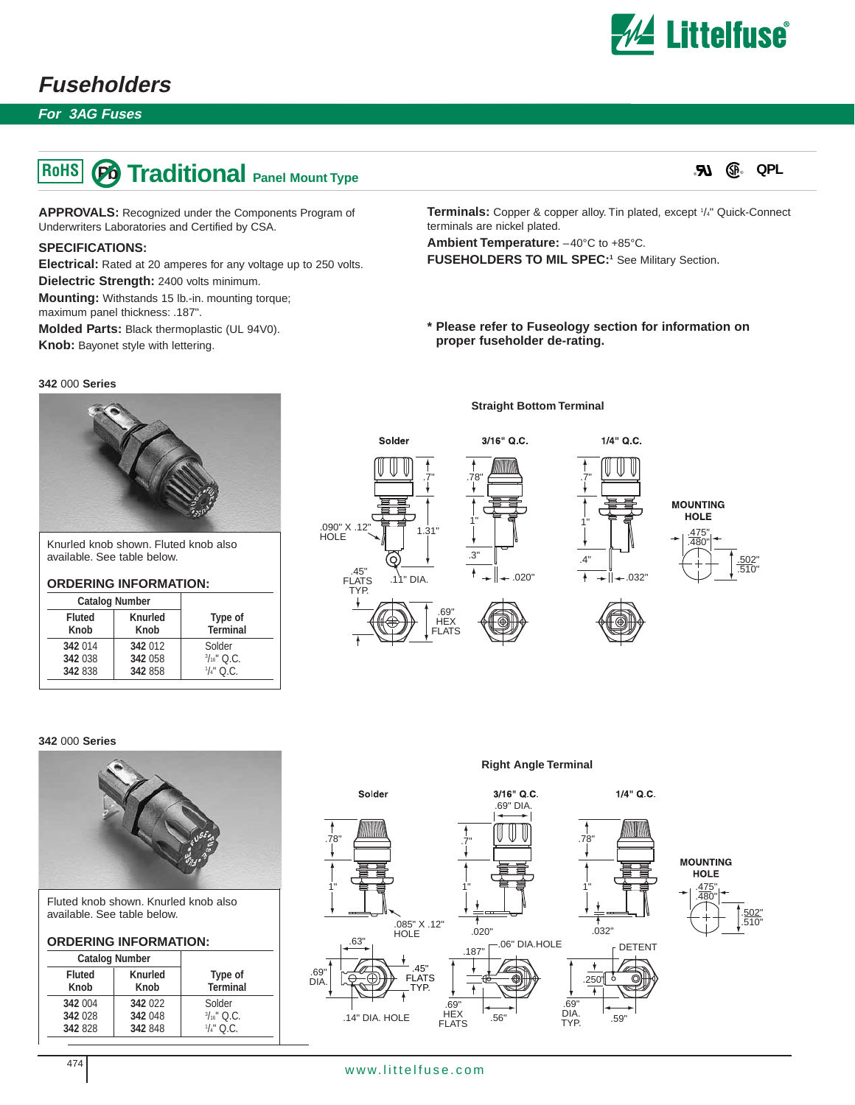

# **Fuseholders**

**For 3AG Fuses**

# **PO Traditional Panel Mount Type RoHS**

**APPROVALS:** Recognized under the Components Program of Underwriters Laboratories and Certified by CSA.

### **SPECIFICATIONS:**

**Electrical:** Rated at 20 amperes for any voltage up to 250 volts.

**Dielectric Strength:** 2400 volts minimum.

**Mounting:** Withstands 15 lb.-in. mounting torque; maximum panel thickness: .187".

**Molded Parts:** Black thermoplastic (UL 94V0).

**Knob:** Bayonet style with lettering.

#### **342** 000 **Series**



Knurled knob shown. Fluted knob also available. See table below.

# **ORDERING INFORMATION:**

| <b>Catalog Number</b> |         |                       |
|-----------------------|---------|-----------------------|
| <b>Fluted</b>         | Knurled | Type of               |
| Knob                  | Knob    | <b>Terminal</b>       |
| 342 014               | 342 012 | Solder                |
| 342 038               | 342 058 | $\frac{3}{16}$ " Q.C. |
| 342 838               | 342 858 | $\frac{1}{4}$ " Q.C.  |

Terminals: Copper & copper alloy. Tin plated, except <sup>1</sup>/4" Quick-Connect terminals are nickel plated.

**Ambient Temperature:** –40°C to +85°C.

FUSEHOLDERS TO MIL SPEC:<sup>1</sup> See Military Section.

**\* Please refer to Fuseology section for information on proper fuseholder de-rating.**





#### **342** 000 **Series**



Fluted knob shown. Knurled knob also available. See table below.

#### **ORDERING INFORMATION:**

| <b>Catalog Number</b> |                 |                     |
|-----------------------|-----------------|---------------------|
| <b>Fluted</b><br>Knob | Knurled<br>Knob | Type of<br>Terminal |
| 342 004               | 342 022         | Solder              |
| 342 028               | 342 048         | $\frac{3}{16}$ Q.C. |
| 342 828               | 342 848         | $1/4$ " Q.C.        |

**Right Angle Terminal**



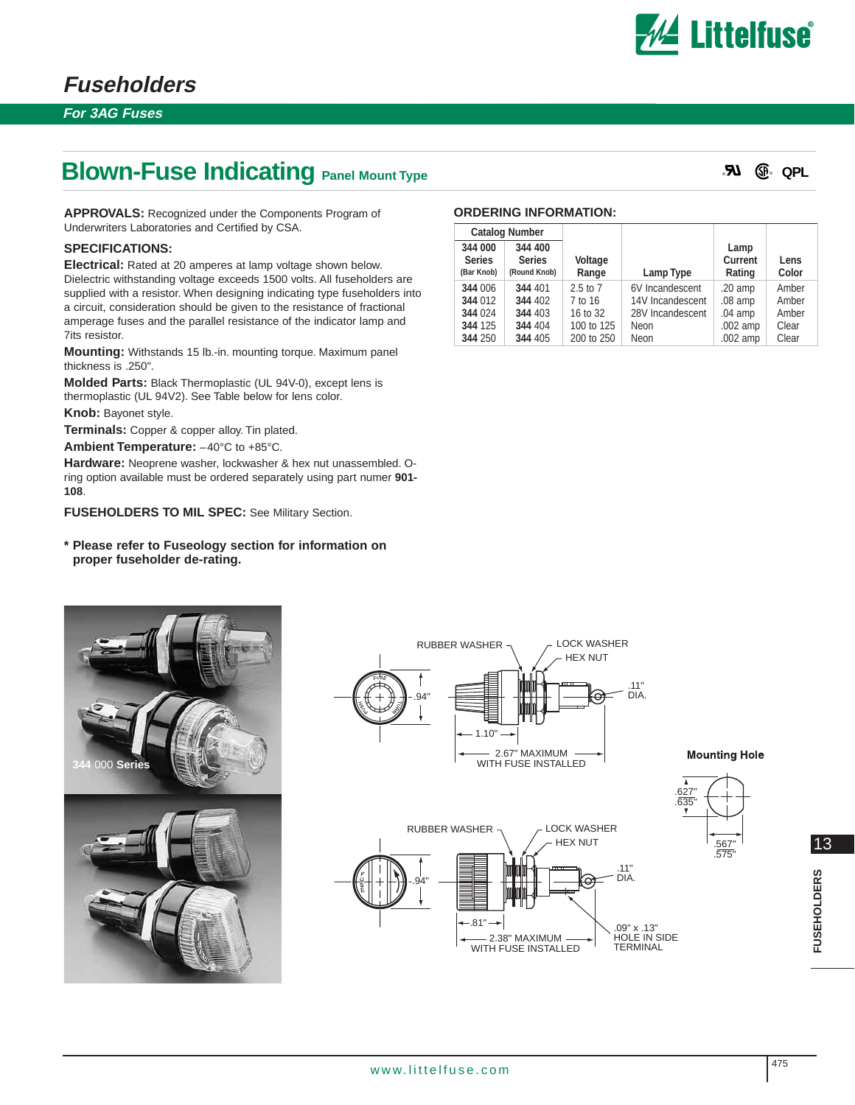

**For 3AG Fuses**

# **Blown-Fuse Indicating Panel Mount Type**

® ® **QPL**

**APPROVALS:** Recognized under the Components Program of Underwriters Laboratories and Certified by CSA.

# **SPECIFICATIONS:**

**Electrical:** Rated at 20 amperes at lamp voltage shown below. Dielectric withstanding voltage exceeds 1500 volts. All fuseholders are supplied with a resistor. When designing indicating type fuseholders into a circuit, consideration should be given to the resistance of fractional amperage fuses and the parallel resistance of the indicator lamp and 7its resistor.

**Mounting:** Withstands 15 lb.-in. mounting torque. Maximum panel thickness is .250".

**Molded Parts:** Black Thermoplastic (UL 94V-0), except lens is thermoplastic (UL 94V2). See Table below for lens color.

**Knob:** Bayonet style.

**Terminals:** Copper & copper alloy. Tin plated.

**Ambient Temperature:** –40°C to +85°C.

**Hardware:** Neoprene washer, lockwasher & hex nut unassembled. Oring option available must be ordered separately using part numer **901- 108**.

**FUSEHOLDERS TO MIL SPEC:** See Military Section.

### **\* Please refer to Fuseology section for information on proper fuseholder de-rating.**

### **ORDERING INFORMATION:**

| <b>Catalog Number</b>                  |                                          |                  |                  |                           |               |
|----------------------------------------|------------------------------------------|------------------|------------------|---------------------------|---------------|
| 344 000<br><b>Series</b><br>(Bar Knob) | 344 400<br><b>Series</b><br>(Round Knob) | Voltage<br>Range | Lamp Type        | Lamp<br>Current<br>Rating | Lens<br>Color |
| 344 006                                | 344 401                                  | $2.5$ to $7$     | 6V Incandescent  | $.20$ amp                 | Amber         |
| 344 012                                | 344 402                                  | 7 to 16          | 14V Incandescent | $.08$ amp                 | Amber         |
| 344 024                                | 344 403                                  | 16 to 32         | 28V Incandescent | $.04$ amp                 | Amber         |
| 344 125                                | 344 404                                  | 100 to 125       | Neon             | $.002$ amp                | Clear         |
| 344 250                                | 344 405                                  | 200 to 250       | Neon             | .002 amp                  | Clear         |







**Mounting Hole** 

.567" .575"

.627"



13